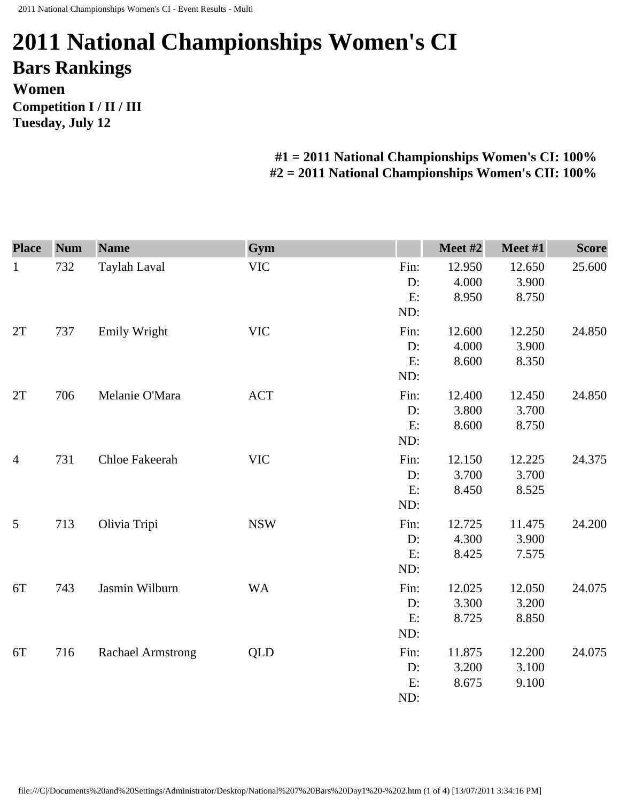## **2011 National Championships Women's CI Bars Rankings Women Competition I / II / III Tuesday, July 12**

**#1 = 2011 National Championships Women's CI: 100% #2 = 2011 National Championships Women's CII: 100%** 

| <b>Place</b>   | <b>Num</b> | <b>Name</b>              | Gym        |      | Meet #2 | Meet #1 | <b>Score</b> |
|----------------|------------|--------------------------|------------|------|---------|---------|--------------|
| $\mathbf{1}$   | 732        | Taylah Laval             | <b>VIC</b> | Fin: | 12.950  | 12.650  | 25.600       |
|                |            |                          |            | D:   | 4.000   | 3.900   |              |
|                |            |                          |            | E:   | 8.950   | 8.750   |              |
|                |            |                          |            | ND:  |         |         |              |
| 2T             | 737        | <b>Emily Wright</b>      | <b>VIC</b> | Fin: | 12.600  | 12.250  | 24.850       |
|                |            |                          |            | D:   | 4.000   | 3.900   |              |
|                |            |                          |            | E:   | 8.600   | 8.350   |              |
|                |            |                          |            | ND:  |         |         |              |
| 2T             | 706        | Melanie O'Mara           | <b>ACT</b> | Fin: | 12.400  | 12.450  | 24.850       |
|                |            |                          |            | D:   | 3.800   | 3.700   |              |
|                |            |                          |            | E:   | 8.600   | 8.750   |              |
|                |            |                          |            | ND:  |         |         |              |
| $\overline{4}$ | 731        | Chloe Fakeerah           | <b>VIC</b> | Fin: | 12.150  | 12.225  | 24.375       |
|                |            |                          |            | D:   | 3.700   | 3.700   |              |
|                |            |                          |            | E:   | 8.450   | 8.525   |              |
|                |            |                          |            | ND:  |         |         |              |
| 5              | 713        | Olivia Tripi             | <b>NSW</b> | Fin: | 12.725  | 11.475  | 24.200       |
|                |            |                          |            | D:   | 4.300   | 3.900   |              |
|                |            |                          |            | E:   | 8.425   | 7.575   |              |
|                |            |                          |            | ND:  |         |         |              |
| 6T             | 743        | Jasmin Wilburn           | <b>WA</b>  | Fin: | 12.025  | 12.050  | 24.075       |
|                |            |                          |            | D:   | 3.300   | 3.200   |              |
|                |            |                          |            | E:   | 8.725   | 8.850   |              |
|                |            |                          |            | ND:  |         |         |              |
| 6T             | 716        | <b>Rachael Armstrong</b> | QLD        | Fin: | 11.875  | 12.200  | 24.075       |
|                |            |                          |            | D:   | 3.200   | 3.100   |              |
|                |            |                          |            | E:   | 8.675   | 9.100   |              |
|                |            |                          |            | ND:  |         |         |              |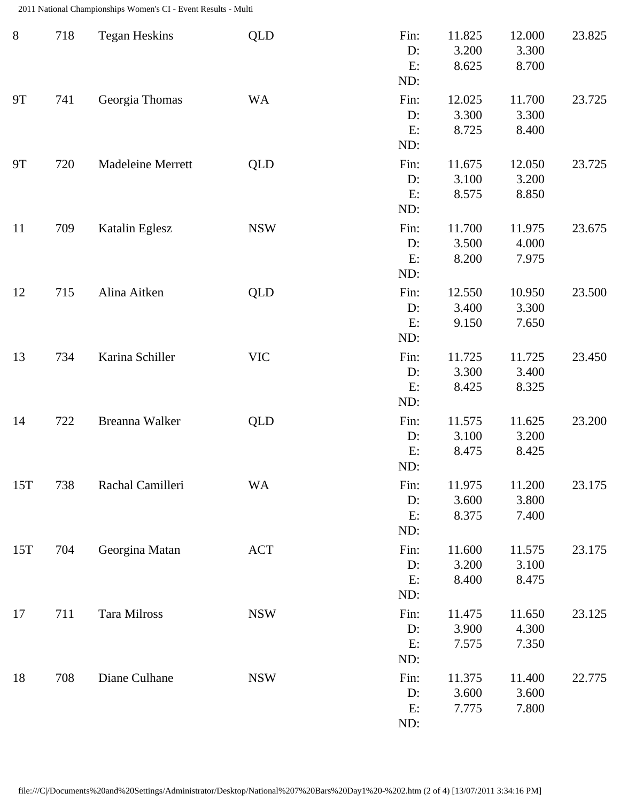2011 National Championships Women's CI - Event Results - Multi

| $8\phantom{1}$ | 718 | <b>Tegan Heskins</b> | <b>QLD</b> | Fin:<br>D:<br>E:<br>ND:    | 11.825<br>3.200<br>8.625 | 12.000<br>3.300<br>8.700 | 23.825 |
|----------------|-----|----------------------|------------|----------------------------|--------------------------|--------------------------|--------|
| <b>9T</b>      | 741 | Georgia Thomas       | <b>WA</b>  | Fin:<br>$D$ :<br>E:<br>ND: | 12.025<br>3.300<br>8.725 | 11.700<br>3.300<br>8.400 | 23.725 |
| <b>9T</b>      | 720 | Madeleine Merrett    | <b>QLD</b> | Fin:<br>D:<br>E:<br>ND:    | 11.675<br>3.100<br>8.575 | 12.050<br>3.200<br>8.850 | 23.725 |
| 11             | 709 | Katalin Eglesz       | <b>NSW</b> | Fin:<br>D:<br>E:<br>ND:    | 11.700<br>3.500<br>8.200 | 11.975<br>4.000<br>7.975 | 23.675 |
| 12             | 715 | Alina Aitken         | <b>QLD</b> | Fin:<br>D:<br>E:<br>ND:    | 12.550<br>3.400<br>9.150 | 10.950<br>3.300<br>7.650 | 23.500 |
| 13             | 734 | Karina Schiller      | <b>VIC</b> | Fin:<br>D:<br>E:<br>ND:    | 11.725<br>3.300<br>8.425 | 11.725<br>3.400<br>8.325 | 23.450 |
| 14             | 722 | Breanna Walker       | <b>QLD</b> | Fin:<br>D:<br>E:<br>ND:    | 11.575<br>3.100<br>8.475 | 11.625<br>3.200<br>8.425 | 23.200 |
| 15T            | 738 | Rachal Camilleri     | <b>WA</b>  | Fin:<br>D:<br>E:<br>ND:    | 11.975<br>3.600<br>8.375 | 11.200<br>3.800<br>7.400 | 23.175 |
| 15T            | 704 | Georgina Matan       | <b>ACT</b> | Fin:<br>$D$ :<br>E:<br>ND: | 11.600<br>3.200<br>8.400 | 11.575<br>3.100<br>8.475 | 23.175 |
| 17             | 711 | Tara Milross         | <b>NSW</b> | Fin:<br>D:<br>E:<br>ND:    | 11.475<br>3.900<br>7.575 | 11.650<br>4.300<br>7.350 | 23.125 |
| 18             | 708 | Diane Culhane        | <b>NSW</b> | Fin:<br>D:<br>E:<br>ND:    | 11.375<br>3.600<br>7.775 | 11.400<br>3.600<br>7.800 | 22.775 |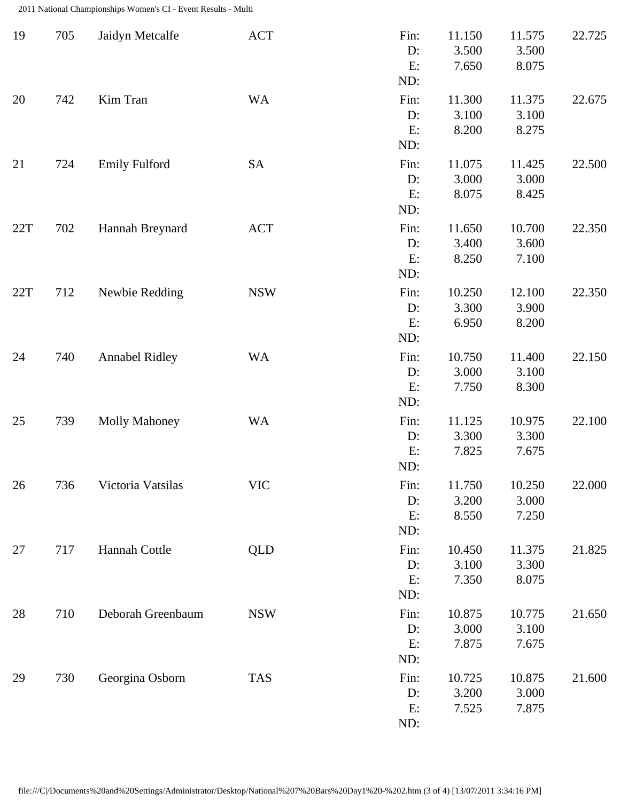2011 National Championships Women's CI - Event Results - Multi

| 19  | 705 | Jaidyn Metcalfe       | <b>ACT</b> | Fin:<br>D:<br>E:<br>ND: | 11.150<br>3.500<br>7.650 | 11.575<br>3.500<br>8.075 | 22.725 |
|-----|-----|-----------------------|------------|-------------------------|--------------------------|--------------------------|--------|
| 20  | 742 | Kim Tran              | <b>WA</b>  | Fin:<br>D:<br>E:<br>ND: | 11.300<br>3.100<br>8.200 | 11.375<br>3.100<br>8.275 | 22.675 |
| 21  | 724 | <b>Emily Fulford</b>  | <b>SA</b>  | Fin:<br>D:<br>E:<br>ND: | 11.075<br>3.000<br>8.075 | 11.425<br>3.000<br>8.425 | 22.500 |
| 22T | 702 | Hannah Breynard       | <b>ACT</b> | Fin:<br>D:<br>E:<br>ND: | 11.650<br>3.400<br>8.250 | 10.700<br>3.600<br>7.100 | 22.350 |
| 22T | 712 | Newbie Redding        | <b>NSW</b> | Fin:<br>D:<br>E:<br>ND: | 10.250<br>3.300<br>6.950 | 12.100<br>3.900<br>8.200 | 22.350 |
| 24  | 740 | <b>Annabel Ridley</b> | <b>WA</b>  | Fin:<br>D:<br>E:<br>ND: | 10.750<br>3.000<br>7.750 | 11.400<br>3.100<br>8.300 | 22.150 |
| 25  | 739 | <b>Molly Mahoney</b>  | <b>WA</b>  | Fin:<br>D:<br>E:<br>ND: | 11.125<br>3.300<br>7.825 | 10.975<br>3.300<br>7.675 | 22.100 |
| 26  | 736 | Victoria Vatsilas     | <b>VIC</b> | Fin:<br>D:<br>E:<br>ND: | 11.750<br>3.200<br>8.550 | 10.250<br>3.000<br>7.250 | 22.000 |
| 27  | 717 | Hannah Cottle         | QLD        | Fin:<br>D:<br>E:<br>ND: | 10.450<br>3.100<br>7.350 | 11.375<br>3.300<br>8.075 | 21.825 |
| 28  | 710 | Deborah Greenbaum     | <b>NSW</b> | Fin:<br>D:<br>E:<br>ND: | 10.875<br>3.000<br>7.875 | 10.775<br>3.100<br>7.675 | 21.650 |
| 29  | 730 | Georgina Osborn       | <b>TAS</b> | Fin:<br>D:<br>E:<br>ND: | 10.725<br>3.200<br>7.525 | 10.875<br>3.000<br>7.875 | 21.600 |